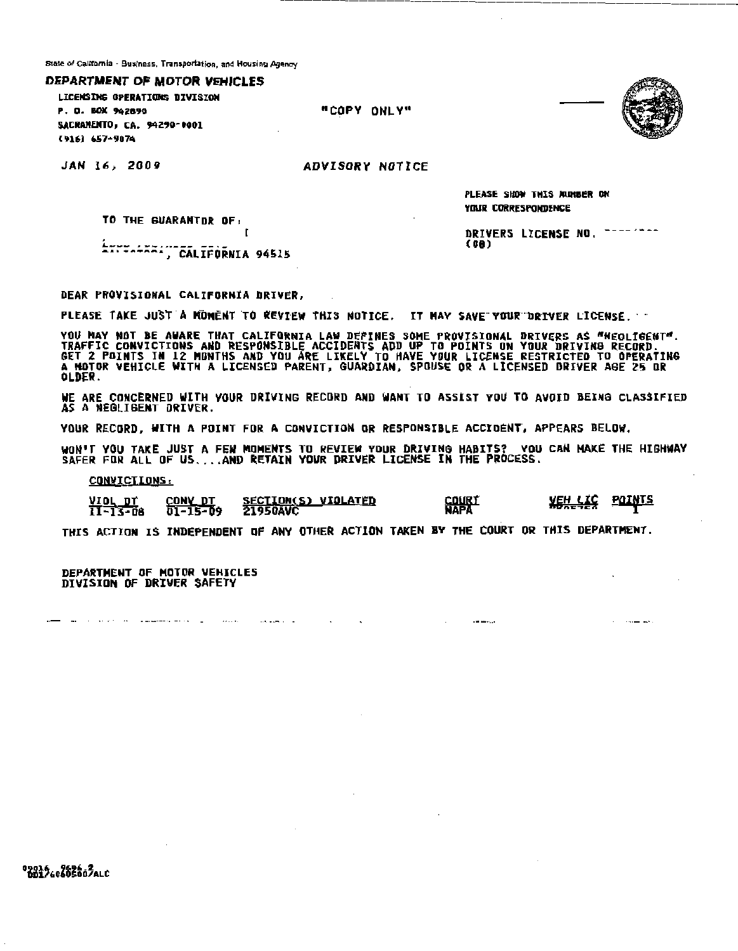State of California - Business, Transportation, and Housing Agency

DEPARTMENT OF MOTOR VEHICLES

LICENSING OPERATIONS DIVISION P. O. BOX 942890 SACRAMENTO, CA. 94290-0001 (916) 657-9074

"COPY ONLY"



JAN 16, 2009

**ADVISORY NOTICE** 

PLEASE SHOW THIS MUNBER ON YOUR CORRESPONDENCE

(GA)

DRIVERS LICENSE NO. ------

TO THE GUARANTOR OF:

ETTT-FXA:"CALIFORNIA 94515

DEAR PROVISIONAL CALIFORNIA DRIVER,

PLEASE TAKE JUST A MOMENT TO REVIEW THIS NOTICE. IT MAY SAVE YOUR DRIVER LICENSE.

YOU MAY NOT BE AWARE THAT CALIFORNIA LAW DEFINES SOME PROVISIONAL DRIVERS AS "MEGLIGENT".<br>TRAFFIC CONVICTIONS AND RESPONSIBLE ACCIDENTS ADD UP TO POINTS ON YOUR DRIVING RECORD.<br>GET 2 POINTS IN 12 MONTHS AND YOU ARE LIKELY **OLDER.** 

WE ARE CONCERNED WITH YOUR DRIVING RECORD AND WANT TO ASSIST YOU TO AVOID BEING CLASSIFIED AS A NEGLIGENT DRIVER.

YOUR RECORD, WITH A POINT FOR A CONVICTION OR RESPONSIBLE ACCIDENT, APPEARS BELOW.

WON'T YOU TAKE JUST A FEW MOMENTS TO REVIEW YOUR DRIVING HABITS? YOU CAN MAKE THE HIGHWAY<br>SAFER FOR ALL OF US....AND RETAIN YOUR DRIVER LICENSE IN THE PROCESS.

CONVICTIONS:

SECTION(S) VIOLATED<br>21950AVC <u>CONV\_DT</u> VIOL DŤ  $11 - 13 - 08$  $01 - 15 - 09$ 

 $\overline{1}$ 

 $\sim$  and  $\sim$   $\sim$ 

COURT<br>NAPA

وبروسهم سويا

**XEH LIC POINTS** 

ومستريده

THIS ACTION IS INDEPENDENT OF ANY OTHER ACTION TAKEN BY THE COURT OR THIS DEPARTMENT.

DEPARTMENT OF MOTOR VEHICLES DIVISION OF DRIVER SAFETY

and the contract of the management of the contract of the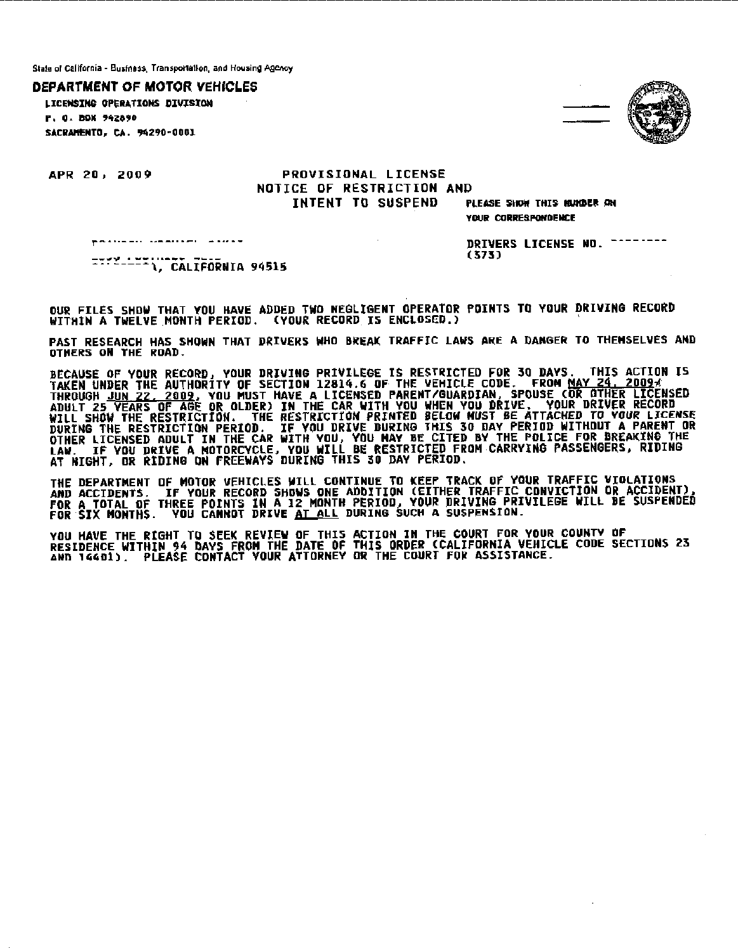State of California - Business, Transportation, and Housing Agency

**DEPARTMENT OF MOTOR VEHICLES** 

LICENSING OPERATIONS DIVISION P. O. ROX 942890 SACRAMENTO. CA. 94290-0001



APR 20, 2009

## PROVISIONAL LICENSE NOTICE OF RESTRICTION AND INTENT TO SUSPEND

PLEASE SHOW THIS KUNDER ON VOUR CORRESPONDENCE

palistics, calculate alors

DRIVERS LICENSE ND. --------(373).

OUR FILES SHOW THAT YOU HAVE ADDED TWO NEGLIGENT OPERATOR POINTS TO YOUR DRIVING RECORD WITHIN A TWELVE MONTH PERIOD. (YOUR RECORD IS ENCLOSED.)

PAST RESEARCH HAS SHOWN THAT DRIVERS WHO BREAK TRAFFIC LAWS ARE A DANGER TO THEMSELVES AND OTHERS ON THE ROAD.

BECAUSE OF YOUR RECORD, YOUR DRIVING PRIVILEGE IS RESTRICTED FOR 30 DAYS. THIS ACTION IS<br>TAKEN UNDER THE AUTHORITY OF SECTION 12814.6 OF THE VEHICLE CODE. FROM <u>MAY 24, 20094</u><br>THROUGH <u>JUN 22, 2009</u>, YOU MUST HAVE A LICENS

THE DEPARTMENT OF MOTOR VEHICLES WILL CONTINUE TO KEEP TRACK OF YOUR TRAFFIC VIOLATIONS THE PETARING OF THINK VERICLES WILL CURLINUE TO RECE TRACK OF TUGK INAFFIC VIOCATIONS.<br>And accidents, if your record shows one addition (either traffic conviction or accident),<br>FOR A TOTAL OF THREE POINTS IN A 12 MONTH PER

YOU HAVE THE RIGHT TO SEEK REVIEW OF THIS ACTION IN THE COURT FOR YOUR COUNTY OF<br>RESIDENCE WITHIN 94 DAYS FROM THE DATE OF THIS ORDER (CALIFORNIA VEHICLE CODE SECTIONS 23<br>AND 14401). PLEASE CONTACT YOUR ATTORNEY OR THE COU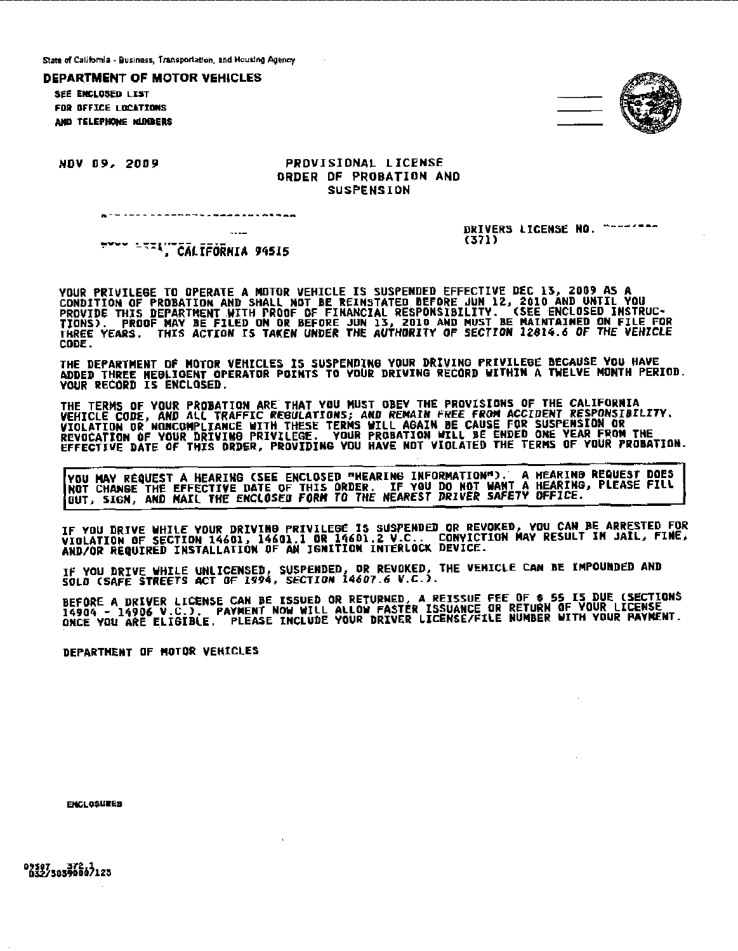State of California • Business, Transportation, and Housing Agency

DEPARTMENT OF MOTOR VEHICLES

**SEC ENCLOSED LYST** FOR OFFICE LOCATIONS AHP TELEPHONE NIJNIERS



DRIVERS LICENSE NO. --------

(371)

#### NOV 09,. 2009 PROVISIONAL LICENSE ORDER OF PROBATION AND **SUSPENSION**

**FYYY LEZA" CALIFORNIA 94515** 

YOUR PRIVILEGE TD OPERATE A MOTOR VEHICLE IS SUSPENDED EFFECTIVE DEC 13, Z009 AS A CONDITION OF PROBATION AND SHALL NOT BE REINSTATED BEFORE JUN 12, 2010 AND UNTIL YOU PROVIDE THIS DEPARTMENT WITH PROOF OF FINANCIAL RESPONSIBILITY. (SEE ENCLOSED INSTRUC•<br>TIONS). PROOF MAY BE FILED ON DR BEFORE JUN 13, ZOLO AND MUST BE MAINTAINED ON FILE FOR THREE YEARS. THIS ACTION IS TAKEN UNDER THE AUTHORITY OF SECTION 12814.6 OF *THE* VEHICLE CODE.

THE DEPARTMENT Of MOTOR VEHICLES IS SUSPENDING YOUR DRIVING PRIVILE0E BECAUSE YOU HAVE ADDED THREE NEGLIGENT OPERATOR POINTS TO YOUR DRIVING RECORD WITHIN A TWELVE MONTH PERIOD. YOUR RECORD IS ENCLOSED.

THE TERMS OF YOUR PROBATION ARE THAT YOU MUST OBEY THE PROVISIONS OF THE CALIFORNIA<br>VEHICLE CODE, AND ALL TRAFFIC REBULATI<u>ONS; AND REMAIN FREE FROM</u> ACCIDENT RESPONSIBILITY. VIOLATION OR NONCOMPLIANCE WITH THESE TERMS WILL AGAIN BE CAUSE FOR SUSPENSION OR<br>REVOCATION OF YOUR DRIVING PRIVILEGE. YOUR PROBATION WILL BE ENDED ONE YEAR FROM THE<br>EFFECTIVE DATE OF THIS ORDER, PROVIDING YOU HAVE NOT VI

VOU MAY REQUEST A HEARING (SEE ENCLOSED "HEARING INFORMATION"), A HEARING REQUEST DOES NOT CHANGE THE EFFECTIVE DATE OF THIS ORDER. IF YOU DO NOT WANT A HEARING, PLEASE FILL OUT, SIGN, AND NAIL THE ENCLOSED FORM TO THE NEAREST DRIVER SAFETY OFFICE.

IF YOU DRIVE WHILE YOUR DRIVING PRIVILEGE IS SUSPENDED OR REVOKED, YOU CAN BE ARRESTED FOR<br>VIOLATION OF SECTION 14601, 14601.1 OR 14601.2 V.C.. CONYICTION MAY RESULT IN JAIL, FINE,<br>AND/OR REQUIRED INSTALLATION OF AN IGNITI

IF YOU DRIVE WHILE UNLICENSED, SUSPENDED, OR REVOKED, THE VEHICLE CAN BE IMPOUNDED AND SOLD (SAFE STREETS ACT OF 1994, SECTION 14607.6 V.C.).

BEFORE A DRIVER LICENSE CAN BE ISSUED OR RETURNED, A REISSUE FEE OF \$ 55 IS DUE (SECTIONS<br>14904 - 14906 V.C.), PAYMENT NOW WILL ALLOW FASTER ISSUANCE OR RETURN OF YOUR LICENSE<br>ONCE YOU ARE ELIGIBLE, PLEASE INCLUDE YOUR D

DEPARTMENT OF MOTOR VEHICLES

**ENCLOSURES** 

02307 372.1<br>032/3039000/123